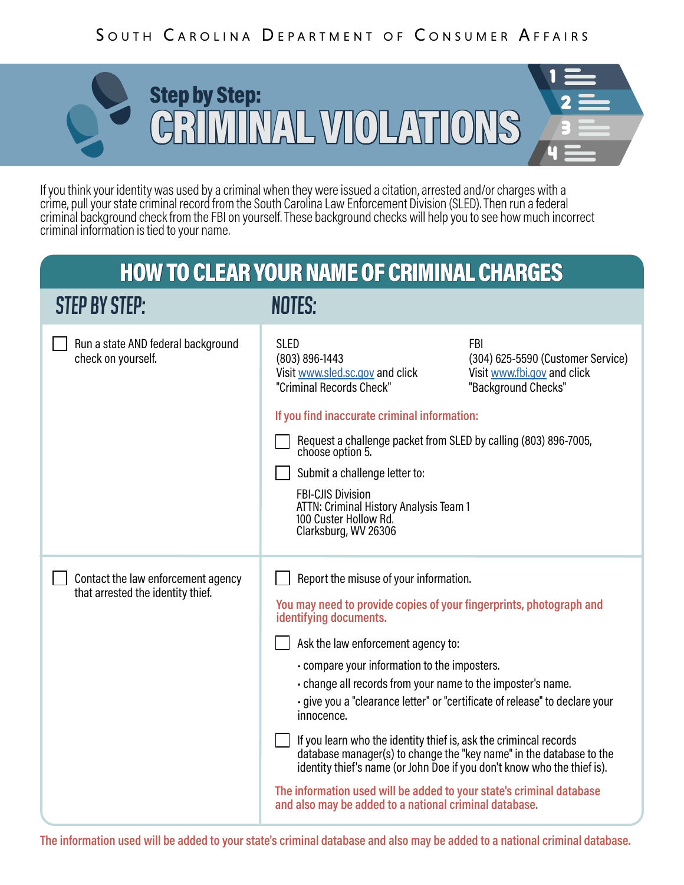## SOUTH CAROLINA DEPARTMENT OF CONSUMER AFFAIRS



If you think your identity was used by a criminal when they were issued a citation, arrested and/or charges with a crime, pull your state criminal record from the South Carolina Law Enforcement Division (SLED). Then run a federal criminal background check from the FBI on yourself. These background checks will help you to see how much incorrect criminal information is tied to your name.

## HOW TO CLEAR YOUR NAME OF CRIMINAL CHARGES

| <b>STEP BY STEP:</b>                                                    | NOTES:                                                                                                                                                                                                                                                                                                                                                                                                                                                                                                                                                                                                                                                                                                                                             |                                                                                                       |
|-------------------------------------------------------------------------|----------------------------------------------------------------------------------------------------------------------------------------------------------------------------------------------------------------------------------------------------------------------------------------------------------------------------------------------------------------------------------------------------------------------------------------------------------------------------------------------------------------------------------------------------------------------------------------------------------------------------------------------------------------------------------------------------------------------------------------------------|-------------------------------------------------------------------------------------------------------|
| Run a state AND federal background<br>check on yourself.                | <b>SLED</b><br>(803) 896-1443<br>Visit www.sled.sc.gov and click<br>"Criminal Records Check"<br>If you find inaccurate criminal information:<br>Request a challenge packet from SLED by calling (803) 896-7005,<br>choose option 5.<br>Submit a challenge letter to:<br><b>FBI-CJIS Division</b><br>ATTN: Criminal History Analysis Team 1<br>100 Custer Hollow Rd.<br>Clarksburg, WV 26306                                                                                                                                                                                                                                                                                                                                                        | <b>FBI</b><br>(304) 625-5590 (Customer Service)<br>Visit www.fbi.gov and click<br>"Background Checks" |
| Contact the law enforcement agency<br>that arrested the identity thief. | Report the misuse of your information.<br>You may need to provide copies of your fingerprints, photograph and<br>identifying documents.<br>Ask the law enforcement agency to:<br>- compare your information to the imposters.<br>- change all records from your name to the imposter's name.<br>- give you a "clearance letter" or "certificate of release" to declare your<br>innocence.<br>If you learn who the identity thief is, ask the crimincal records<br>database manager(s) to change the "key name" in the database to the<br>identity thief's name (or John Doe if you don't know who the thief is).<br>The information used will be added to your state's criminal database<br>and also may be added to a national criminal database. |                                                                                                       |

**The information used will be added to your state's criminal database and also may be added to a national criminal database.**